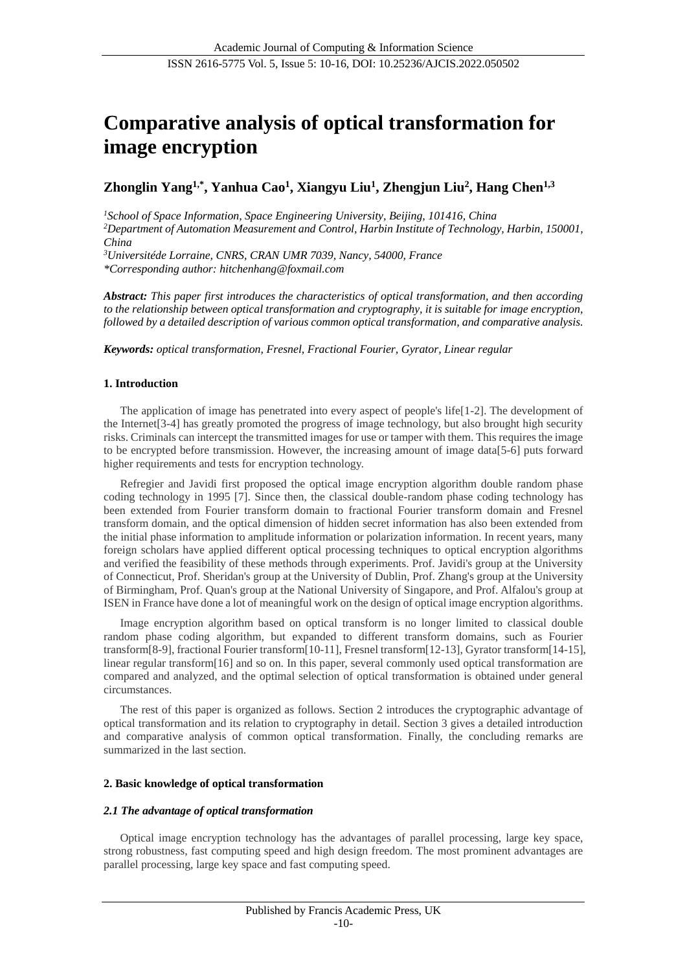# **Comparative analysis of optical transformation for image encryption**

## **Zhonglin Yang1,\* , Yanhua Cao<sup>1</sup> , Xiangyu Liu<sup>1</sup> , Zhengjun Liu<sup>2</sup> , Hang Chen1,3**

*<sup>1</sup>School of Space Information, Space Engineering University, Beijing, 101416, China <sup>2</sup>Department of Automation Measurement and Control, Harbin Institute of Technology, Harbin, 150001, China*

*<sup>3</sup>Universitéde Lorraine, CNRS, CRAN UMR 7039, Nancy, 54000, France \*Corresponding author: hitchenhang@foxmail.com*

*Abstract: This paper first introduces the characteristics of optical transformation, and then according to the relationship between optical transformation and cryptography, it is suitable for image encryption, followed by a detailed description of various common optical transformation, and comparative analysis.*

*Keywords: optical transformation, Fresnel, Fractional Fourier, Gyrator, Linear regular*

## **1. Introduction**

The application of image has penetrated into every aspect of people's life[1-2]. The development of the Internet[3-4] has greatly promoted the progress of image technology, but also brought high security risks. Criminals can intercept the transmitted images for use or tamper with them. This requires the image to be encrypted before transmission. However, the increasing amount of image data[5-6] puts forward higher requirements and tests for encryption technology.

Refregier and Javidi first proposed the optical image encryption algorithm double random phase coding technology in 1995 [7]. Since then, the classical double-random phase coding technology has been extended from Fourier transform domain to fractional Fourier transform domain and Fresnel transform domain, and the optical dimension of hidden secret information has also been extended from the initial phase information to amplitude information or polarization information. In recent years, many foreign scholars have applied different optical processing techniques to optical encryption algorithms and verified the feasibility of these methods through experiments. Prof. Javidi's group at the University of Connecticut, Prof. Sheridan's group at the University of Dublin, Prof. Zhang's group at the University of Birmingham, Prof. Quan's group at the National University of Singapore, and Prof. Alfalou's group at ISEN in France have done a lot of meaningful work on the design of optical image encryption algorithms.

Image encryption algorithm based on optical transform is no longer limited to classical double random phase coding algorithm, but expanded to different transform domains, such as Fourier transform[8-9], fractional Fourier transform[10-11], Fresnel transform[12-13], Gyrator transform[14-15], linear regular transform[16] and so on. In this paper, several commonly used optical transformation are compared and analyzed, and the optimal selection of optical transformation is obtained under general circumstances.

The rest of this paper is organized as follows. Section 2 introduces the cryptographic advantage of optical transformation and its relation to cryptography in detail. Section 3 gives a detailed introduction and comparative analysis of common optical transformation. Finally, the concluding remarks are summarized in the last section.

## **2. Basic knowledge of optical transformation**

## *2.1 The advantage of optical transformation*

Optical image encryption technology has the advantages of parallel processing, large key space, strong robustness, fast computing speed and high design freedom. The most prominent advantages are parallel processing, large key space and fast computing speed.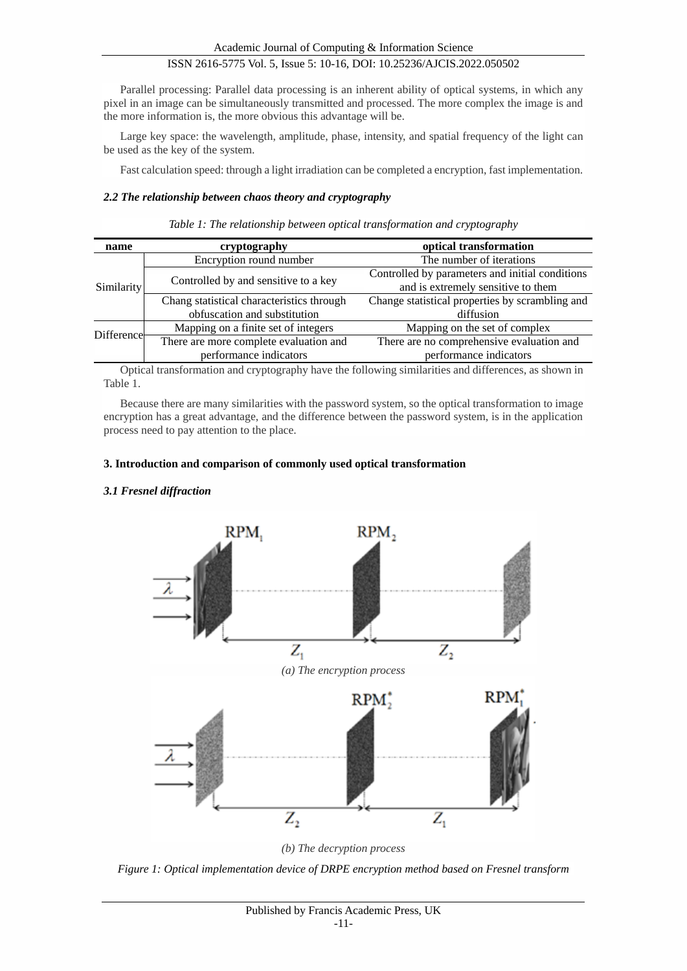Parallel processing: Parallel data processing is an inherent ability of optical systems, in which any pixel in an image can be simultaneously transmitted and processed. The more complex the image is and the more information is, the more obvious this advantage will be.

Large key space: the wavelength, amplitude, phase, intensity, and spatial frequency of the light can be used as the key of the system.

Fast calculation speed: through a light irradiation can be completed a encryption, fast implementation.

## *2.2 The relationship between chaos theory and cryptography*

| name       | cryptography                              | optical transformation                          |  |
|------------|-------------------------------------------|-------------------------------------------------|--|
| Similarity | Encryption round number                   | The number of iterations                        |  |
|            | Controlled by and sensitive to a key      | Controlled by parameters and initial conditions |  |
|            |                                           | and is extremely sensitive to them              |  |
|            | Chang statistical characteristics through | Change statistical properties by scrambling and |  |
|            | obfuscation and substitution              | diffusion                                       |  |
| Difference | Mapping on a finite set of integers       | Mapping on the set of complex                   |  |
|            | There are more complete evaluation and    | There are no comprehensive evaluation and       |  |
|            | performance indicators                    | performance indicators                          |  |

Optical transformation and cryptography have the following similarities and differences, as shown in Table 1.

Because there are many similarities with the password system, so the optical transformation to image encryption has a great advantage, and the difference between the password system, is in the application process need to pay attention to the place.

## **3. Introduction and comparison of commonly used optical transformation**

## *3.1 Fresnel diffraction*



*(b) The decryption process*

*Figure 1: Optical implementation device of DRPE encryption method based on Fresnel transform*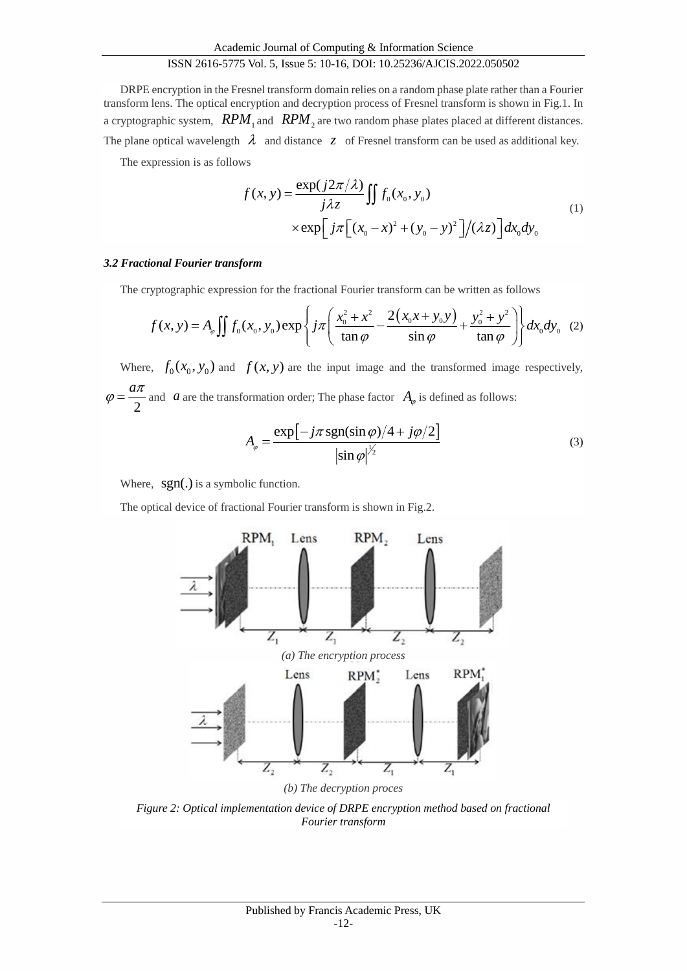DRPE encryption in the Fresnel transform domain relies on a random phase plate rather than a Fourier transform lens. The optical encryption and decryption process of Fresnel transform is shown in Fig.1. In a cryptographic system,  $\mathit{RPM}_1$  and  $\mathit{RPM}_2$  are two random phase plates placed at different distances. The plane optical wavelength  $\lambda$  and distance  $z$  of Fresnel transform can be used as additional key.

The expression is as follows

$$
f(x, y) = \frac{\exp(j2\pi/\lambda)}{j\lambda z} \iint f_0(x_0, y_0)
$$
  
 
$$
\times \exp\left[j\pi\left[(x_0 - x)^2 + (y_0 - y)^2\right]/(\lambda z)\right] dx_0 dy_0
$$
 (1)

#### *3.2 Fractional Fourier transform*

**Fractional Fourier transform**  
The cryptographic expression for the fractional Fourier transform can be written as follows  

$$
f(x, y) = A_{\varphi} \iint f_0(x_0, y_0) \exp \left\{ j\pi \left( \frac{x_0^2 + x^2}{\tan \varphi} - \frac{2(x_0 x + y_0 y)}{\sin \varphi} + \frac{y_0^2 + y^2}{\tan \varphi} \right) \right\} dx_0 dy_0
$$
(2)

Where,  $f_0(x_0, y_0)$  and  $f(x, y)$  are the input image and the transformed image respectively, 2  $\varphi = \frac{a\pi}{2}$  and *a* are the transformation order; The phase factor  $A_{\varphi}$  is defined as follows:

$$
A_{\varphi} = \frac{\exp[-j\pi \operatorname{sgn}(\sin \varphi)/4 + j\varphi/2]}{|\sin \varphi|^{\frac{1}{2}}}
$$
(3)

Where,  $sgn(.)$  is a symbolic function.

The optical device of fractional Fourier transform is shown in Fig.2.



*Figure 2: Optical implementation device of DRPE encryption method based on fractional Fourier transform*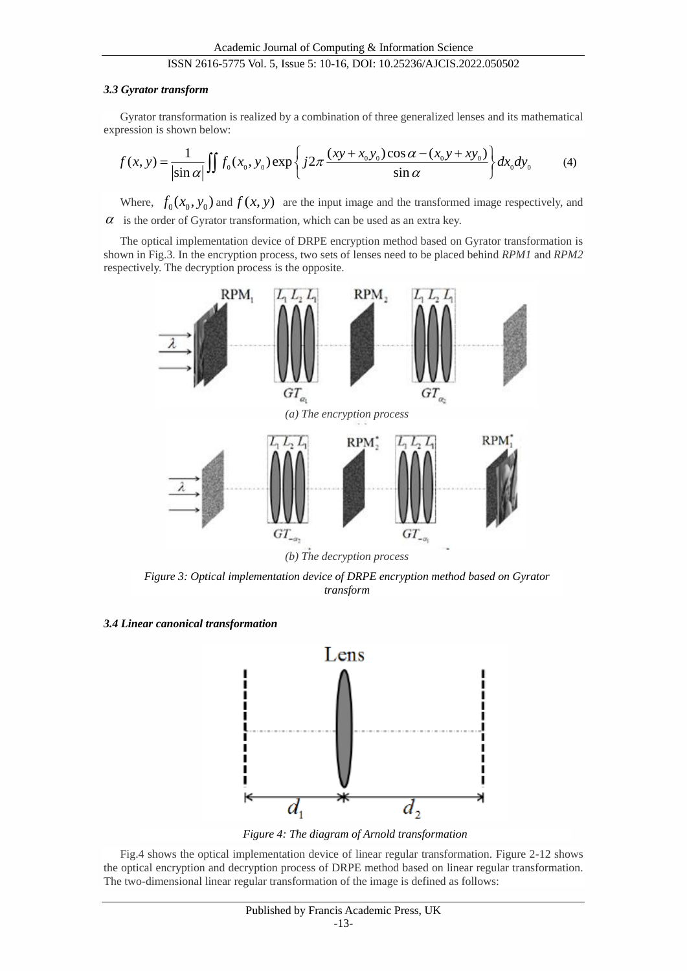#### *3.3 Gyrator transform*

Gyrator transformation is realized by a combination of three generalized lenses and its mathematical expression is shown below:

$$
f(x, y) = \frac{1}{\left|\sin \alpha\right|} \iint f_0(x_0, y_0) \exp\left\{ j2\pi \frac{(xy + x_0 y_0) \cos \alpha - (x_0 y + xy_0)}{\sin \alpha} \right\} dx_0 dy_0 \tag{4}
$$

Where,  $f_0(x_0, y_0)$  and  $f(x, y)$  are the input image and the transformed image respectively, and  $\alpha$  is the order of Gyrator transformation, which can be used as an extra key.

The optical implementation device of DRPE encryption method based on Gyrator transformation is shown in Fig.3. In the encryption process, two sets of lenses need to be placed behind *RPM1* and *RPM2*  respectively. The decryption process is the opposite.



*Figure 3: Optical implementation device of DRPE encryption method based on Gyrator transform*

*3.4 Linear canonical transformation*



*Figure 4: The diagram of Arnold transformation*

Fig.4 shows the optical implementation device of linear regular transformation. Figure 2-12 shows the optical encryption and decryption process of DRPE method based on linear regular transformation. The two-dimensional linear regular transformation of the image is defined as follows: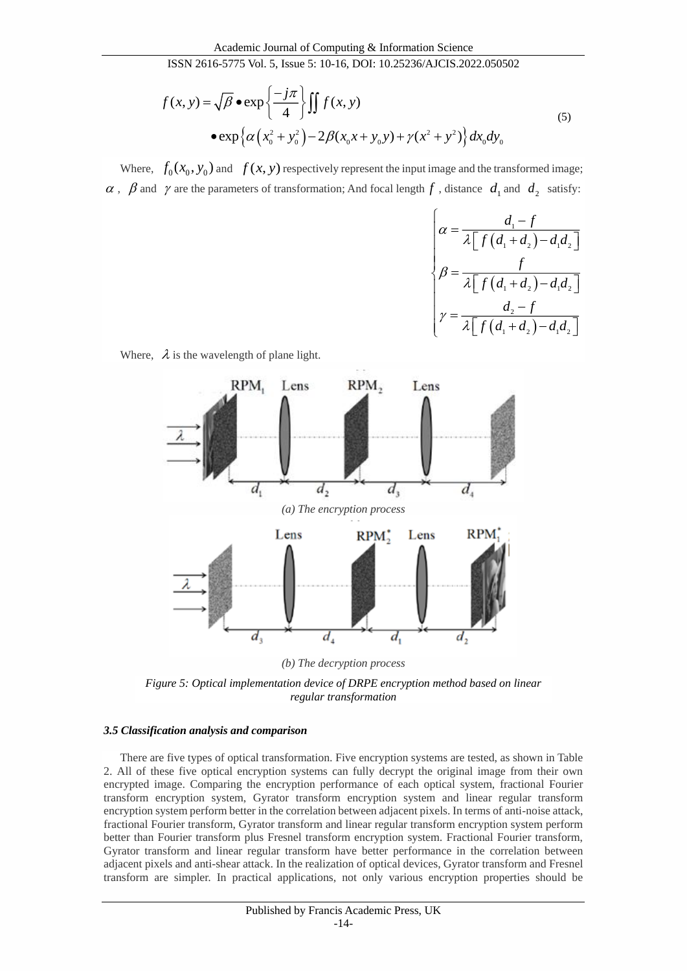$$
f(x, y) = \sqrt{\beta} \cdot \exp\left\{\frac{-j\pi}{4}\right\} \int f(x, y)
$$
\n
$$
= \exp\left\{\alpha \left(x_0^2 + y_0^2\right) - 2\beta(x_0 x + y_0 y) + \gamma(x^2 + y^2)\right\} dx_0 dy_0
$$
\n(5)

Where,  $f_0(x_0, y_0)$  and  $f(x, y)$  respectively represent the input image and the transformed image;  $\alpha$ ,  $\beta$  and  $\gamma$  are the parameters of transformation; And focal length  $f$ , distance  $d_1$  and  $d_2$  satisfy:

$$
\begin{cases}\n\alpha = \frac{d_1 - f}{\lambda \left[ f\left(d_1 + d_2\right) - d_1 d_2 \right]} \\
\beta = \frac{f}{\lambda \left[ f\left(d_1 + d_2\right) - d_1 d_2 \right]} \\
\gamma = \frac{d_2 - f}{\lambda \left[ f\left(d_1 + d_2\right) - d_1 d_2 \right]}\n\end{cases}
$$



Where,  $\lambda$  is the wavelength of plane light.

*(b) The decryption process*

*Figure 5: Optical implementation device of DRPE encryption method based on linear regular transformation*

#### *3.5 Classification analysis and comparison*

There are five types of optical transformation. Five encryption systems are tested, as shown in Table 2. All of these five optical encryption systems can fully decrypt the original image from their own encrypted image. Comparing the encryption performance of each optical system, fractional Fourier transform encryption system, Gyrator transform encryption system and linear regular transform encryption system perform better in the correlation between adjacent pixels. In terms of anti-noise attack, fractional Fourier transform, Gyrator transform and linear regular transform encryption system perform better than Fourier transform plus Fresnel transform encryption system. Fractional Fourier transform, Gyrator transform and linear regular transform have better performance in the correlation between adjacent pixels and anti-shear attack. In the realization of optical devices, Gyrator transform and Fresnel transform are simpler. In practical applications, not only various encryption properties should be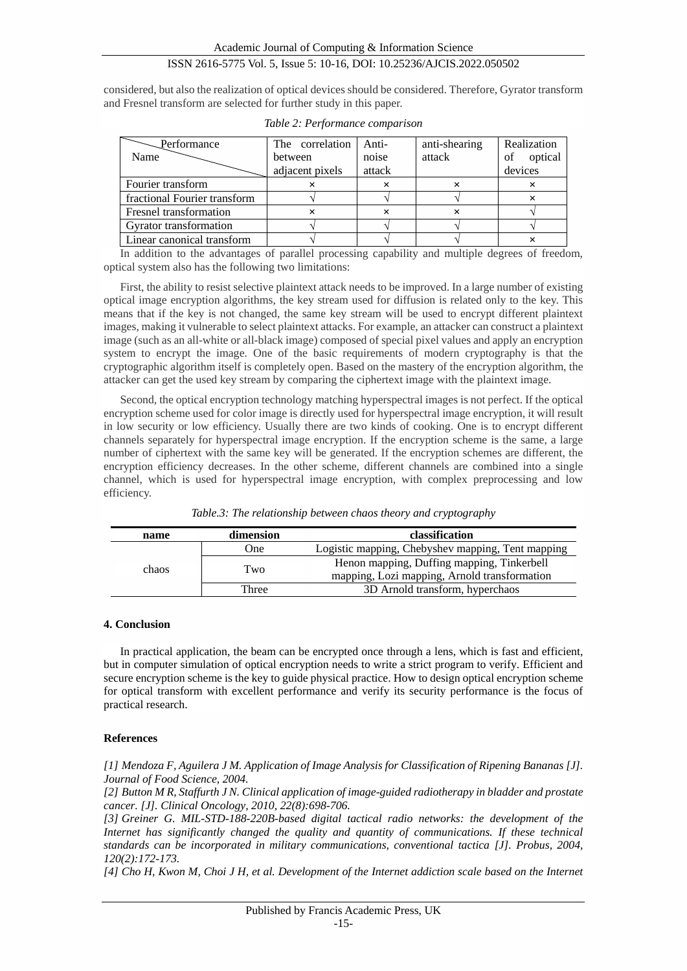considered, but also the realization of optical devices should be considered. Therefore, Gyrator transform and Fresnel transform are selected for further study in this paper.

| Performance                  | The correlation | Anti-  | anti-shearing | Realization   |
|------------------------------|-----------------|--------|---------------|---------------|
| Name                         | between         | noise  | attack        | optical<br>of |
|                              | adjacent pixels | attack |               | devices       |
| Fourier transform            |                 |        |               |               |
| fractional Fourier transform |                 |        |               |               |
| Fresnel transformation       | ×               |        | $\times$      |               |
| Gyrator transformation       |                 |        |               |               |
| Linear canonical transform   |                 |        |               |               |

*Table 2: Performance comparison*

In addition to the advantages of parallel processing capability and multiple degrees of freedom, optical system also has the following two limitations:

First, the ability to resist selective plaintext attack needs to be improved. In a large number of existing optical image encryption algorithms, the key stream used for diffusion is related only to the key. This means that if the key is not changed, the same key stream will be used to encrypt different plaintext images, making it vulnerable to select plaintext attacks. For example, an attacker can construct a plaintext image (such as an all-white or all-black image) composed of special pixel values and apply an encryption system to encrypt the image. One of the basic requirements of modern cryptography is that the cryptographic algorithm itself is completely open. Based on the mastery of the encryption algorithm, the attacker can get the used key stream by comparing the ciphertext image with the plaintext image.

Second, the optical encryption technology matching hyperspectral images is not perfect. If the optical encryption scheme used for color image is directly used for hyperspectral image encryption, it will result in low security or low efficiency. Usually there are two kinds of cooking. One is to encrypt different channels separately for hyperspectral image encryption. If the encryption scheme is the same, a large number of ciphertext with the same key will be generated. If the encryption schemes are different, the encryption efficiency decreases. In the other scheme, different channels are combined into a single channel, which is used for hyperspectral image encryption, with complex preprocessing and low efficiency.

| name  | dimension | classification                                                                             |
|-------|-----------|--------------------------------------------------------------------------------------------|
|       | One)      | Logistic mapping, Chebyshev mapping, Tent mapping                                          |
| chaos | Two       | Henon mapping, Duffing mapping, Tinkerbell<br>mapping, Lozi mapping, Arnold transformation |
|       | Three     | 3D Arnold transform, hyperchaos                                                            |

#### **4. Conclusion**

In practical application, the beam can be encrypted once through a lens, which is fast and efficient, but in computer simulation of optical encryption needs to write a strict program to verify. Efficient and secure encryption scheme is the key to guide physical practice. How to design optical encryption scheme for optical transform with excellent performance and verify its security performance is the focus of practical research.

#### **References**

*[1] Mendoza F, Aguilera J M. Application of Image Analysis for Classification of Ripening Bananas [J]. Journal of Food Science, 2004.*

*[2] Button M R, Staffurth J N. Clinical application of image-guided radiotherapy in bladder and prostate cancer. [J]. Clinical Oncology, 2010, 22(8):698-706.*

*[3] Greiner G. MIL-STD-188-220B-based digital tactical radio networks: the development of the Internet has significantly changed the quality and quantity of communications. If these technical standards can be incorporated in military communications, conventional tactica [J]. Probus, 2004, 120(2):172-173.*

*[4] Cho H, Kwon M, Choi J H, et al. Development of the Internet addiction scale based on the Internet*